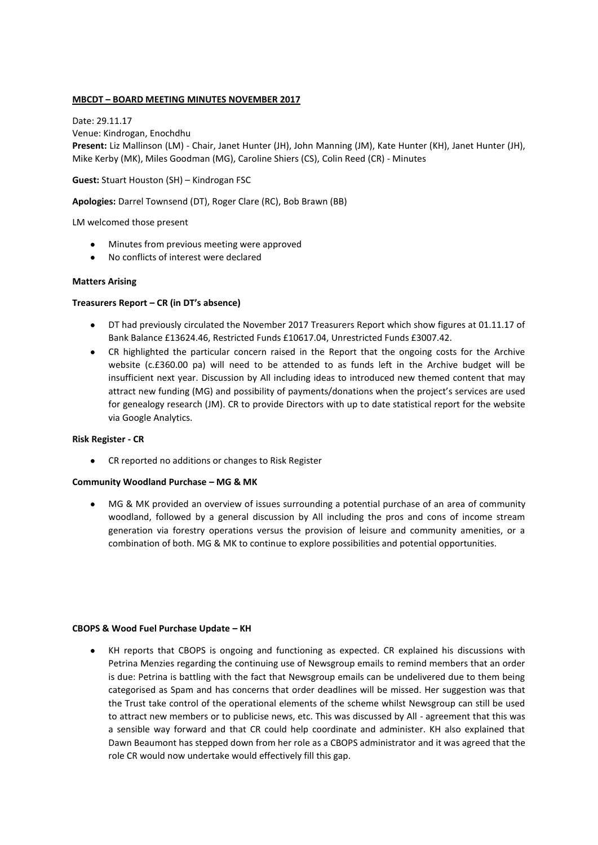# **MBCDT – BOARD MEETING MINUTES NOVEMBER 2017**

Date: 29.11.17 Venue: Kindrogan, Enochdhu **Present:** Liz Mallinson (LM) - Chair, Janet Hunter (JH), John Manning (JM), Kate Hunter (KH), Janet Hunter (JH), Mike Kerby (MK), Miles Goodman (MG), Caroline Shiers (CS), Colin Reed (CR) - Minutes

**Guest:** Stuart Houston (SH) – Kindrogan FSC

**Apologies:** Darrel Townsend (DT), Roger Clare (RC), Bob Brawn (BB)

LM welcomed those present

- Minutes from previous meeting were approved
- No conflicts of interest were declared

## **Matters Arising**

# **Treasurers Report – CR (in DT's absence)**

- DT had previously circulated the November 2017 Treasurers Report which show figures at 01.11.17 of Bank Balance £13624.46, Restricted Funds £10617.04, Unrestricted Funds £3007.42.
- $\bullet$ CR highlighted the particular concern raised in the Report that the ongoing costs for the Archive website (c.£360.00 pa) will need to be attended to as funds left in the Archive budget will be insufficient next year. Discussion by All including ideas to introduced new themed content that may attract new funding (MG) and possibility of payments/donations when the project's services are used for genealogy research (JM). CR to provide Directors with up to date statistical report for the website via Google Analytics.

### **Risk Register - CR**

CR reported no additions or changes to Risk Register

### **Community Woodland Purchase – MG & MK**

MG & MK provided an overview of issues surrounding a potential purchase of an area of community woodland, followed by a general discussion by All including the pros and cons of income stream generation via forestry operations versus the provision of leisure and community amenities, or a combination of both. MG & MK to continue to explore possibilities and potential opportunities.

### **CBOPS & Wood Fuel Purchase Update – KH**

KH reports that CBOPS is ongoing and functioning as expected. CR explained his discussions with Petrina Menzies regarding the continuing use of Newsgroup emails to remind members that an order is due: Petrina is battling with the fact that Newsgroup emails can be undelivered due to them being categorised as Spam and has concerns that order deadlines will be missed. Her suggestion was that the Trust take control of the operational elements of the scheme whilst Newsgroup can still be used to attract new members or to publicise news, etc. This was discussed by All - agreement that this was a sensible way forward and that CR could help coordinate and administer. KH also explained that Dawn Beaumont has stepped down from her role as a CBOPS administrator and it was agreed that the role CR would now undertake would effectively fill this gap.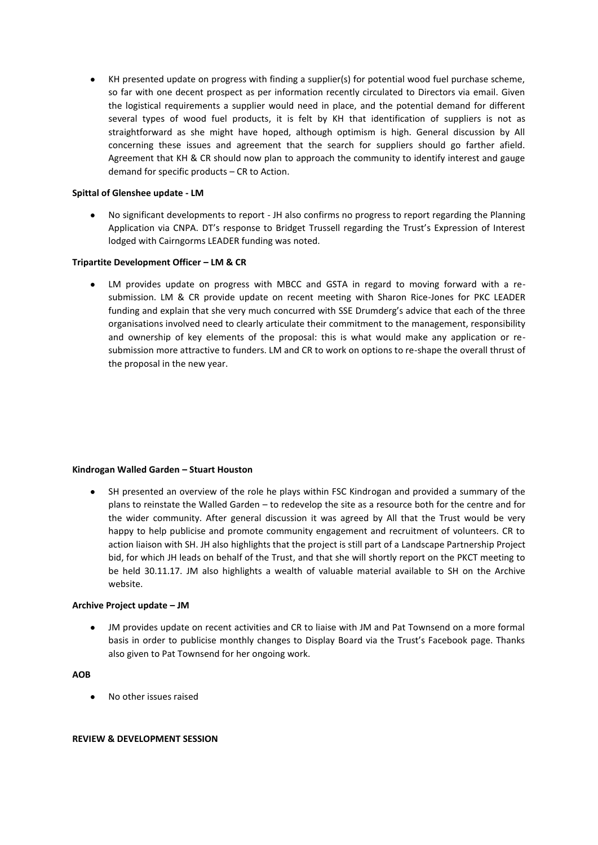KH presented update on progress with finding a supplier(s) for potential wood fuel purchase scheme, so far with one decent prospect as per information recently circulated to Directors via email. Given the logistical requirements a supplier would need in place, and the potential demand for different several types of wood fuel products, it is felt by KH that identification of suppliers is not as straightforward as she might have hoped, although optimism is high. General discussion by All concerning these issues and agreement that the search for suppliers should go farther afield. Agreement that KH & CR should now plan to approach the community to identify interest and gauge demand for specific products – CR to Action.

## **Spittal of Glenshee update - LM**

No significant developments to report - JH also confirms no progress to report regarding the Planning Application via CNPA. DT's response to Bridget Trussell regarding the Trust's Expression of Interest lodged with Cairngorms LEADER funding was noted.

## **Tripartite Development Officer – LM & CR**

LM provides update on progress with MBCC and GSTA in regard to moving forward with a resubmission. LM & CR provide update on recent meeting with Sharon Rice-Jones for PKC LEADER funding and explain that she very much concurred with SSE Drumderg's advice that each of the three organisations involved need to clearly articulate their commitment to the management, responsibility and ownership of key elements of the proposal: this is what would make any application or resubmission more attractive to funders. LM and CR to work on options to re-shape the overall thrust of the proposal in the new year.

### **Kindrogan Walled Garden – Stuart Houston**

SH presented an overview of the role he plays within FSC Kindrogan and provided a summary of the plans to reinstate the Walled Garden – to redevelop the site as a resource both for the centre and for the wider community. After general discussion it was agreed by All that the Trust would be very happy to help publicise and promote community engagement and recruitment of volunteers. CR to action liaison with SH. JH also highlights that the project is still part of a Landscape Partnership Project bid, for which JH leads on behalf of the Trust, and that she will shortly report on the PKCT meeting to be held 30.11.17. JM also highlights a wealth of valuable material available to SH on the Archive website.

# **Archive Project update – JM**

 $\bullet$ JM provides update on recent activities and CR to liaise with JM and Pat Townsend on a more formal basis in order to publicise monthly changes to Display Board via the Trust's Facebook page. Thanks also given to Pat Townsend for her ongoing work.

# **AOB**

No other issues raised

### **REVIEW & DEVELOPMENT SESSION**